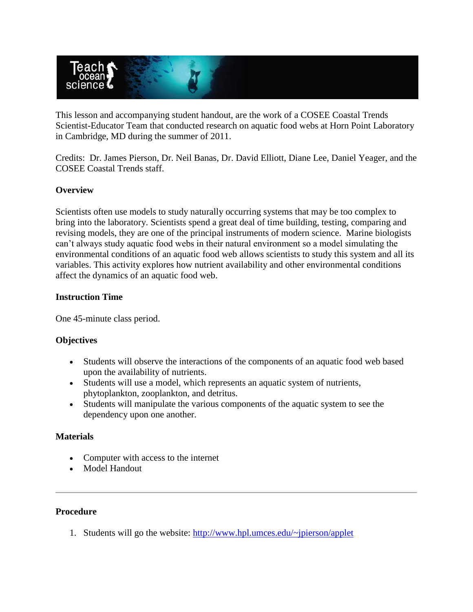

This lesson and accompanying student handout, are the work of a COSEE Coastal Trends Scientist-Educator Team that conducted research on aquatic food webs at Horn Point Laboratory in Cambridge, MD during the summer of 2011.

Credits: Dr. James Pierson, Dr. Neil Banas, Dr. David Elliott, Diane Lee, Daniel Yeager, and the COSEE Coastal Trends staff.

### **Overview**

Scientists often use models to study naturally occurring systems that may be too complex to bring into the laboratory. Scientists spend a great deal of time building, testing, comparing and revising models, they are one of the principal instruments of modern science. Marine biologists can't always study aquatic food webs in their natural environment so a model simulating the environmental conditions of an aquatic food web allows scientists to study this system and all its variables. This activity explores how nutrient availability and other environmental conditions affect the dynamics of an aquatic food web.

### **Instruction Time**

One 45-minute class period.

### **Objectives**

- Students will observe the interactions of the components of an aquatic food web based upon the availability of nutrients.
- Students will use a model, which represents an aquatic system of nutrients, phytoplankton, zooplankton, and detritus.
- Students will manipulate the various components of the aquatic system to see the dependency upon one another.

#### **Materials**

- Computer with access to the internet
- Model Handout

# **Procedure**

1. Students will go the website:<http://www.hpl.umces.edu/~jpierson/applet>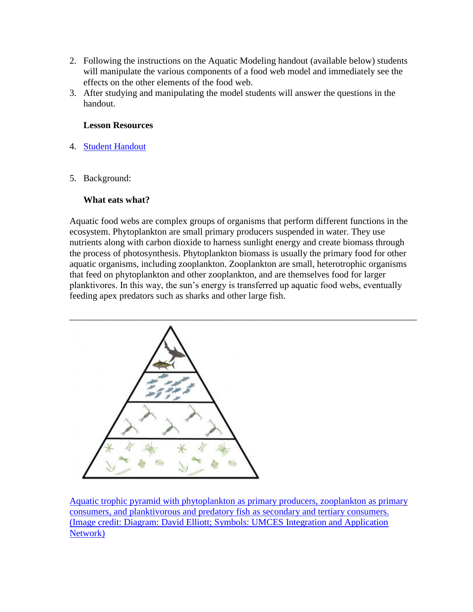- 2. Following the instructions on the Aquatic Modeling handout (available below) students will manipulate the various components of a food web model and immediately see the effects on the other elements of the food web.
- 3. After studying and manipulating the model students will answer the questions in the handout.

### **Lesson Resources**

- 4. [Student Handout](http://www.teachoceanscience.net/pdfs/food_webs_model_final.pdf)
- 5. Background:

# **What eats what?**

Aquatic food webs are complex groups of organisms that perform different functions in the ecosystem. Phytoplankton are small primary producers suspended in water. They use nutrients along with carbon dioxide to harness sunlight energy and create biomass through the process of photosynthesis. Phytoplankton biomass is usually the primary food for other aquatic organisms, including zooplankton. Zooplankton are small, heterotrophic organisms that feed on phytoplankton and other zooplankton, and are themselves food for larger planktivores. In this way, the sun's energy is transferred up aquatic food webs, eventually feeding apex predators such as sharks and other large fish.



[Aquatic trophic pyramid with phytoplankton as primary producers, zooplankton as primary](http://www.teachoceanscience.net/images/aquatic_food_webs_1313437040_lge.png)  [consumers, and planktivorous and predatory fish as secondary and tertiary consumers.](http://www.teachoceanscience.net/images/aquatic_food_webs_1313437040_lge.png)  [\(Image credit: Diagram: David Elliott; Symbols: UMCES Integration and Application](http://www.teachoceanscience.net/images/aquatic_food_webs_1313437040_lge.png)  [Network\)](http://www.teachoceanscience.net/images/aquatic_food_webs_1313437040_lge.png)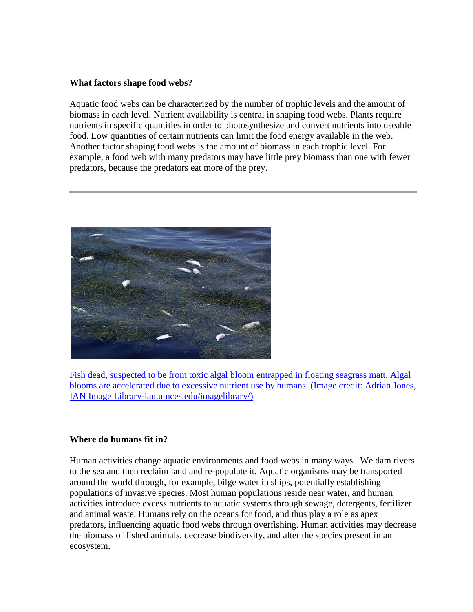#### **What factors shape food webs?**

Aquatic food webs can be characterized by the number of trophic levels and the amount of biomass in each level. Nutrient availability is central in shaping food webs. Plants require nutrients in specific quantities in order to photosynthesize and convert nutrients into useable food. Low quantities of certain nutrients can limit the food energy available in the web. Another factor shaping food webs is the amount of biomass in each trophic level. For example, a food web with many predators may have little prey biomass than one with fewer predators, because the predators eat more of the prey.



[Fish dead, suspected to be from toxic algal bloom entrapped in floating seagrass matt. Algal](http://www.teachoceanscience.net/images/aquatic_food_webs_1312218595_lge.jpg)  [blooms are accelerated due to excessive nutrient use by humans. \(Image credit: Adrian Jones,](http://www.teachoceanscience.net/images/aquatic_food_webs_1312218595_lge.jpg)  [IAN Image Library-ian.umces.edu/imagelibrary/\)](http://www.teachoceanscience.net/images/aquatic_food_webs_1312218595_lge.jpg)

#### **Where do humans fit in?**

Human activities change aquatic environments and food webs in many ways. We dam rivers to the sea and then reclaim land and re-populate it. Aquatic organisms may be transported around the world through, for example, bilge water in ships, potentially establishing populations of invasive species. Most human populations reside near water, and human activities introduce excess nutrients to aquatic systems through sewage, detergents, fertilizer and animal waste. Humans rely on the oceans for food, and thus play a role as apex predators, influencing aquatic food webs through overfishing. Human activities may decrease the biomass of fished animals, decrease biodiversity, and alter the species present in an ecosystem.